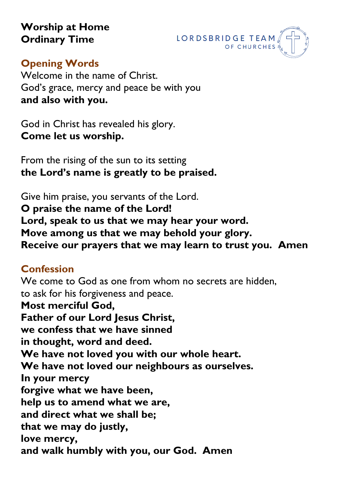**Worship at Home Ordinary Time**



### **Opening Words**

Welcome in the name of Christ. God's grace, mercy and peace be with you **and also with you.**

God in Christ has revealed his glory. **Come let us worship.**

From the rising of the sun to its setting **the Lord's name is greatly to be praised.**

Give him praise, you servants of the Lord. **O praise the name of the Lord! Lord, speak to us that we may hear your word. Move among us that we may behold your glory. Receive our prayers that we may learn to trust you. Amen**

# **Confession**

We come to God as one from whom no secrets are hidden, to ask for his forgiveness and peace. **Most merciful God, Father of our Lord Jesus Christ. we confess that we have sinned in thought, word and deed. We have not loved you with our whole heart. We have not loved our neighbours as ourselves. In your mercy forgive what we have been, help us to amend what we are, and direct what we shall be; that we may do justly, love mercy, and walk humbly with you, our God. Amen**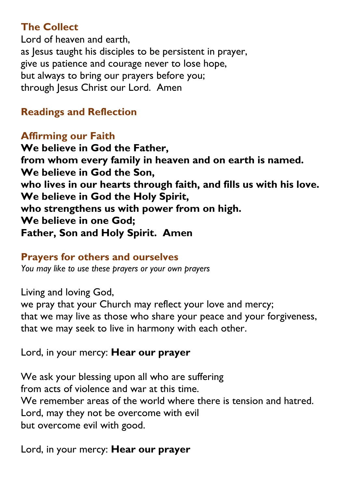# **The Collect**

Lord of heaven and earth, as Jesus taught his disciples to be persistent in prayer, give us patience and courage never to lose hope, but always to bring our prayers before you; through Jesus Christ our Lord. Amen

# **Readings and Reflection**

## **Affirming our Faith**

**We believe in God the Father, from whom every family in heaven and on earth is named. We believe in God the Son, who lives in our hearts through faith, and fills us with his love. We believe in God the Holy Spirit, who strengthens us with power from on high. We believe in one God; Father, Son and Holy Spirit. Amen** 

#### **Prayers for others and ourselves**

*You may like to use these prayers or your own prayers*

Living and loving God,

we pray that your Church may reflect your love and mercy; that we may live as those who share your peace and your forgiveness, that we may seek to live in harmony with each other.

Lord, in your mercy: **Hear our prayer**

We ask your blessing upon all who are suffering from acts of violence and war at this time. We remember areas of the world where there is tension and hatred. Lord, may they not be overcome with evil but overcome evil with good.

Lord, in your mercy: **Hear our prayer**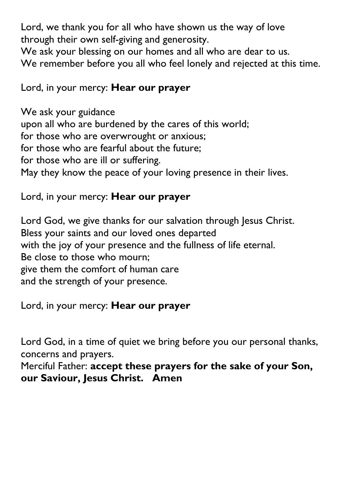Lord, we thank you for all who have shown us the way of love through their own self-giving and generosity.

We ask your blessing on our homes and all who are dear to us. We remember before you all who feel lonely and rejected at this time.

### Lord, in your mercy: **Hear our prayer**

We ask your guidance upon all who are burdened by the cares of this world; for those who are overwrought or anxious; for those who are fearful about the future; for those who are ill or suffering. May they know the peace of your loving presence in their lives.

#### Lord, in your mercy: **Hear our prayer**

Lord God, we give thanks for our salvation through Jesus Christ. Bless your saints and our loved ones departed with the joy of your presence and the fullness of life eternal. Be close to those who mourn; give them the comfort of human care and the strength of your presence.

Lord, in your mercy: **Hear our prayer**

Lord God, in a time of quiet we bring before you our personal thanks, concerns and prayers.

Merciful Father: **accept these prayers for the sake of your Son, our Saviour, Jesus Christ. Amen**